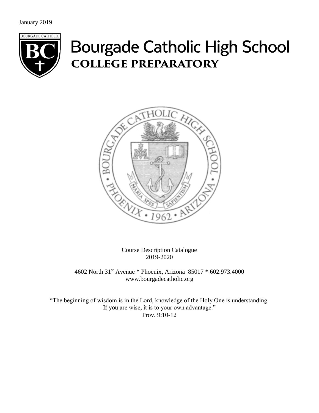January 2019



# **Bourgade Catholic High School COLLEGE PREPARATORY**



Course Description Catalogue 2019-2020

4602 North 31st Avenue \* Phoenix, Arizona 85017 \* 602.973.4000 www.bourgadecatholic.org

"The beginning of wisdom is in the Lord, knowledge of the Holy One is understanding. If you are wise, it is to your own advantage." Prov. 9:10-12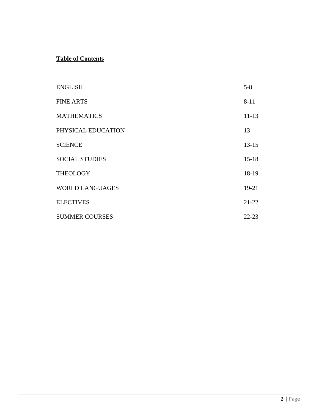# **Table of Contents**

| <b>ENGLISH</b>         | $5 - 8$   |
|------------------------|-----------|
| <b>FINE ARTS</b>       | $8 - 11$  |
| <b>MATHEMATICS</b>     | $11 - 13$ |
| PHYSICAL EDUCATION     | 13        |
| <b>SCIENCE</b>         | $13 - 15$ |
| <b>SOCIAL STUDIES</b>  | $15 - 18$ |
| <b>THEOLOGY</b>        | 18-19     |
| <b>WORLD LANGUAGES</b> | 19-21     |
| <b>ELECTIVES</b>       | $21 - 22$ |
| <b>SUMMER COURSES</b>  | $22 - 23$ |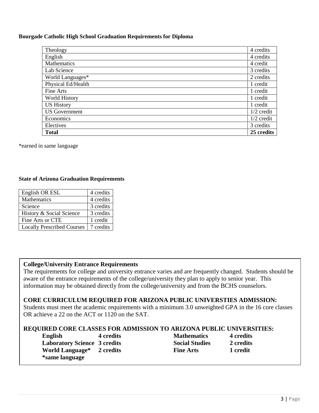### **Bourgade Catholic High School Graduation Requirements for Diploma**

| Theology             | 4 credits    |
|----------------------|--------------|
| English              | 4 credits    |
| Mathematics          | 4 credit     |
| Lab Science          | 3 credits    |
| World Languages*     | 2 credits    |
| Physical Ed/Health   | 1 credit     |
| Fine Arts            | 1 credit     |
| World History        | 1 credit     |
| <b>US History</b>    | 1 credit     |
| <b>US</b> Government | $1/2$ credit |
| Economics            | $1/2$ credit |
| Electives            | 3 credits    |
| <b>Total</b>         | 25 credits   |

\*earned in same language

### **State of Arizona Graduation Requirements**

| English OR ESL                    | 4 credits |
|-----------------------------------|-----------|
| <b>Mathematics</b>                | 4 credits |
| Science                           | 3 credits |
| History & Social Science          | 3 credits |
| Fine Arts or CTE                  | 1 credit  |
| <b>Locally Prescribed Courses</b> | 7 credits |

### **College/University Entrance Requirements**

The requirements for college and university entrance varies and are frequently changed. Students should be aware of the entrance requirements of the college/university they plan to apply to senior year. This information may be obtained directly from the college/university and from the BCHS counselors.

### **CORE CURRICULUM REQUIRED FOR ARIZONA PUBLIC UNIVERSTIES ADMISSION:**

Students must meet the academic requirements with a minimum 3.0 unweighted GPA in the 16 core classes OR achieve a 22 on the ACT or 1120 on the SAT.

### **REQUIRED CORE CLASSES FOR ADMISSION TO ARIZONA PUBLIC UNIVERSITIES:**

| English                               | 4 credits | <b>Mathematics</b>    | 4 credit |
|---------------------------------------|-----------|-----------------------|----------|
| <b>Laboratory Science 3 credits</b>   |           | <b>Social Studies</b> | 2 credit |
| World Language <sup>*</sup> 2 credits |           | <b>Fine Arts</b>      | 1 credit |
| *same language                        |           |                       |          |

| English                               | 4 credits | <b>Mathematics</b>    | 4 credits |
|---------------------------------------|-----------|-----------------------|-----------|
| <b>Laboratory Science 3 credits</b>   |           | <b>Social Studies</b> | 2 credits |
| World Language <sup>*</sup> 2 credits |           | <b>Fine Arts</b>      | 1 credit  |
|                                       |           |                       |           |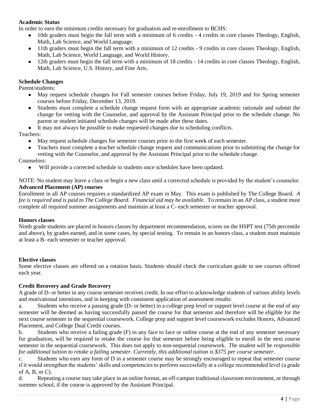### **Academic Status**

In order to earn the minimum credits necessary for graduation and re-enrollment to BCHS:

- 10th graders must begin the fall term with a minimum of 6 credits 4 credits in core classes Theology, English, Math, Lab Science, and World Language.
- 11th graders must begin the fall term with a minimum of 12 credits 9 credits in core classes Theology, English, Math, Lab Science, World Language, and World History.
- 12th graders must begin the fall term with a minimum of 18 credits 14 credits in core classes Theology, English, Math, Lab Science, U.S. History, and Fine Arts.

### **Schedule Changes**

Parent/students:

- May request schedule changes for Fall semester courses before Friday, July 19, 2019 and for Spring semester courses before Friday, December 13, 2019.
- Students must complete a schedule change request form with an appropriate academic rationale and submit the change for vetting with the Counselor, and approval by the Assistant Principal prior to the schedule change. No parent or student initiated schedule changes will be made after these dates.
- It may not always be possible to make requested changes due to scheduling conflicts.

Teachers:

- May request schedule changes for semester courses prior to the first week of each semester.
- Teachers must complete a teacher schedule change request and communications prior to submitting the change for vetting with the Counselor, and approval by the Assistant Principal prior to the schedule change.

Counselors:

● Will provide a corrected schedule to students once schedules have been updated.

NOTE: No student may leave a class or begin a new class until a corrected schedule is provided by the student's counselor. **Advanced Placement (AP) courses**

Enrollment in all AP courses requires a standardized AP exam in May. This exam is published by The College Board. *A*  fee is required and is paid to The College Board. Financial aid may be available. To remain in an AP class, a student must complete all required summer assignments and maintain at least a C- each semester or teacher approval.

### **Honors classes**

Ninth grade students are placed in honors classes by department recommendation, scores on the HSPT test (75th percentile and above), by grades earned, and in some cases, by special testing. To remain in an honors class, a student must maintain at least a B- each semester or teacher approval.

### **Elective classes**

Some elective classes are offered on a rotation basis. Students should check the curriculum guide to see courses offered each year.

### **Credit Recovery and Grade Recovery**

A grade of D- or better in any course semester receives credit. In our effort to acknowledge students of various ability levels and motivational intentions, and in keeping with consistent application of assessment results:

a. Students who receive a passing grade (D- or better) in a college prep level or support level course at the end of any semester will be deemed as having successfully passed the course for that semester and therefore will be eligible for the next course semester in the sequential coursework. College prep and support level coursework excludes Honors, Advanced Placement, and College Dual Credit courses.

b. Students who receive a failing grade (F) in any face to face or online course at the end of any semester necessary for graduation, will be required to retake the course for that semester before being eligible to enroll in the next course semester in the sequential coursework. This does not apply to non-sequential coursework. *The student will be responsible for additional tuition to retake a failing semester. Currently, this additional tuition is \$375 per course semester.*

c. Students who earn any form of D in a semester course may be strongly encouraged to repeat that semester course if it would strengthen the students' skills and competencies to perform successfully at a college recommended level (a grade of  $A$ ,  $B$ , or  $C$ ).

d. Repeating a course may take place in an online format, an off-campus traditional classroom environment, or through summer school, if the course is approved by the Assistant Principal.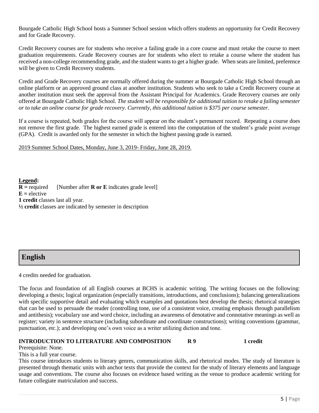Bourgade Catholic High School hosts a Summer School session which offers students an opportunity for Credit Recovery and for Grade Recovery.

Credit Recovery courses are for students who receive a failing grade in a core course and must retake the course to meet graduation requirements. Grade Recovery courses are for students who elect to retake a course where the student has received a non-college recommending grade, and the student wants to get a higher grade. When seats are limited, preference will be given to Credit Recovery students.

Credit and Grade Recovery courses are normally offered during the summer at Bourgade Catholic High School through an online platform or an approved ground class at another institution. Students who seek to take a Credit Recovery course at another institution must seek the approval from the Assistant Principal for Academics. Grade Recovery courses are only offered at Bourgade Catholic High School. *The student will be responsible for additional tuition to retake a failing semester or to take an online course for grade recovery. Currently, this additional tuition is \$375 per course semester.*

If a course is repeated, both grades for the course will appear on the student's permanent record. Repeating a course does not remove the first grade. The highest earned grade is entered into the computation of the student's grade point average (GPA). Credit is awarded only for the semester in which the highest passing grade is earned.

2019 Summer School Dates, Monday, June 3, 2019- Friday, June 28, 2019.

**Legend:**  $R$  = required [Number after **R** or **E** indicates grade level]  $E =$  elective **1 credit** classes last all year. **½ credit** classes are indicated by semester in description

# **English**

4 credits needed for graduation.

The focus and foundation of all English courses at BCHS is academic writing. The writing focuses on the following: developing a thesis; logical organization (especially transitions, introductions, and conclusions); balancing generalizations with specific supportive detail and evaluating which examples and quotations best develop the thesis; rhetorical strategies that can be used to persuade the reader (controlling tone, use of a consistent voice, creating emphasis through parallelism and antithesis); vocabulary use and word choice, including an awareness of denotative and connotative meanings as well as register; variety in sentence structure (including subordinate and coordinate constructions); writing conventions (grammar, punctuation, etc.); and developing one's own voice as a writer utilizing diction and tone.

### **INTRODUCTION TO LITERATURE AND COMPOSITION R9** 1 credit

Prerequisite: None.

This is a full year course.

This course introduces students to literary genres, communication skills, and rhetorical modes. The study of literature is presented through thematic units with anchor texts that provide the context for the study of literary elements and language usage and conventions. The course also focuses on evidence based writing as the venue to produce academic writing for future collegiate matriculation and success.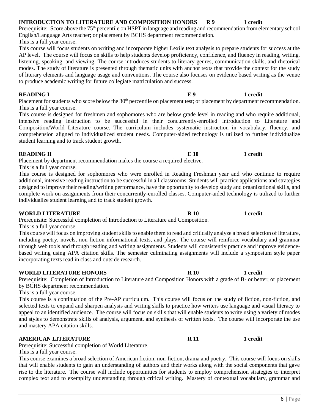# English/Language Arts teacher; or placement by BCHS department recommendation.

This is a full year course.

This course will focus students on writing and incorporate higher Lexile text analysis to prepare students for success at the AP level. The course will focus on skills to help students develop proficiency, confidence, and fluency in reading, writing, listening, speaking, and viewing. The course introduces students to literary genres, communication skills, and rhetorical modes. The study of literature is presented through thematic units with anchor texts that provide the context for the study of literary elements and language usage and conventions. The course also focuses on evidence based writing as the venue to produce academic writing for future collegiate matriculation and success.

Placement for students who score below the  $30<sup>th</sup>$  percentile on placement test; or placement by department recommendation. This is a full year course.

This course is designed for freshmen and sophomores who are below grade level in reading and who require additional, intensive reading instruction to be successful in their concurrently-enrolled Introduction to Literature and Composition/World Literature course. The curriculum includes systematic instruction in vocabulary, fluency, and comprehension aligned to individualized student needs. Computer-aided technology is utilized to further individualize student learning and to track student growth.

### **READING II E 10 1** credit

Placement by department recommendation makes the course a required elective. This is a full year course.

This course is designed for sophomores who were enrolled in Reading Freshman year and who continue to require additional, intensive reading instruction to be successful in all classrooms. Students will practice applications and strategies designed to improve their reading/writing performance, have the opportunity to develop study and organizational skills, and complete work on assignments from their concurrently-enrolled classes. Computer-aided technology is utilized to further individualize student learning and to track student growth.

### **WORLD LITERATURE R 10** R 10 1 credit

Prerequisite: Successful completion of Introduction to Literature and Composition.

This is a full year course.

This course will focus on improving student skills to enable them to read and critically analyze a broad selection of literature, including poetry, novels, non-fiction informational texts, and plays. The course will reinforce vocabulary and grammar through web tools and through reading and writing assignments. Students will consistently practice and improve evidencebased writing using APA citation skills. The semester culminating assignments will include a symposium style paper incorporating texts read in class and outside research.

### **WORLD LITERATURE HONORS** R 10 R 10 1 credit

Prerequisite: Completion of Introduction to Literature and Composition Honors with a grade of B- or better; or placement by BCHS department recommendation.

This is a full year course.

This course is a continuation of the Pre-AP curriculum. This course will focus on the study of fiction, non-fiction, and selected texts to expand and sharpen analysis and writing skills to practice how writers use language and visual literacy to appeal to an identified audience. The course will focus on skills that will enable students to write using a variety of modes and styles to demonstrate skills of analysis, argument, and synthesis of written texts. The course will incorporate the use and mastery APA citation skills.

### **AMERICAN LITERATURE 1 Credit 1 Credit 1 Credit**

Prerequisite: Successful completion of World Literature.

This is a full year course.

This course examines a broad selection of American fiction, non-fiction, drama and poetry. This course will focus on skills that will enable students to gain an understanding of authors and their works along with the social components that gave rise to the literature. The course will include opportunities for students to employ comprehension strategies to interpret complex text and to exemplify understanding through critical writing. Mastery of contextual vocabulary, grammar and

**READING I E 9** 1 credit

### **INTRODUCTION TO LITERATURE AND COMPOSITION HONORS R9 1 credit** Prerequisite: Score above the 75<sup>th</sup> percentile on HSPT in language and reading and recommendation from elementary school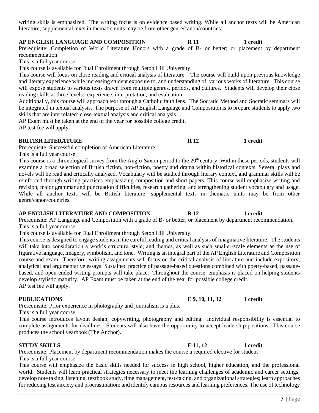writing skills is emphasized. The writing focus is on evidence based writing. While all anchor texts will be American literature; supplemental texts in thematic units may be from other genre/canon/countries.

### **AP ENGLISH LANGUAGE AND COMPOSITION R 11 1 credit**

Prerequisite: Completion of World Literature Honors with a grade of B- or better; or placement by department recommendation.

This is a full year course.

This course is available for Dual Enrollment through Seton Hill University.

This course will focus on close reading and critical analysis of literature. The course will build upon previous knowledge and literary experience while increasing student exposure to, and understanding of, various works of literature. This course will expose students to various texts drawn from multiple genres, periods, and cultures. Students will develop their close reading skills at three levels: experience, interpretation, and evaluation.

Additionally, this course will approach text through a Catholic faith lens. The Socratic Method and Socratic seminars will be integrated in textual analysis. The purpose of AP English Language and Composition is to prepare students to apply two skills that are interrelated: close-textual analysis and critical analysis.

AP Exam must be taken at the end of the year for possible college credit. AP test fee will apply.

### **BRITISH LITERATURE R 12** 1 credit

Prerequisite: Successful completion of American Literature.

This is a full year course.

This course is a chronological survey from the Anglo-Saxon period to the 20<sup>th</sup> century. Within these periods, students will examine a broad selection of British fiction, non-fiction, poetry and drama within historical contexts. Several plays and novels will be read and critically analyzed. Vocabulary will be studied through literary context, and grammar skills will be reinforced through writing practices emphasizing composition and short papers. This course will emphasize writing and revision, major grammar and punctuation difficulties, research gathering, and strengthening student vocabulary and usage. While all anchor texts will be British literature; supplemental texts in thematic units may be from other genre/canon/countries.

### **AP ENGLISH LITERATURE AND COMPOSITION R 12 1 credit**

Prerequisite: AP Language and Composition with a grade of B- or better; or placement by department recommendation. This is a full year course.

This course is available for Dual Enrollment through Seton Hill University.

This course is designed to engage students in the careful reading and critical analysis of imaginative literature. The students will take into consideration a work's structure, style, and themes, as well as such smaller-scale elements as the use of figurative language, imagery, symbolism, and tone. Writing is an integral part of the AP English Literature and Composition course and exam. Therefore, writing assignments will focus on the critical analysis of literature and include expository, analytical and argumentative essays. Sustained practice of passage-based questions combined with poetry-based, passagebased, and open-ended writing prompts will take place. Throughout the course, emphasis is placed on helping students develop stylistic maturity. AP Exam must be taken at the end of the year for possible college credit. AP test fee will apply.

Prerequisite: Prior experience in photography and journalism is a plus.

This is a full year course.

This course introduces layout design, copywriting, photography and editing. Individual responsibility is essential to complete assignments for deadlines. Students will also have the opportunity to accept leadership positions. This course produces the school yearbook (The Anchor).

### **STUDY SKILLS** 1 credit

Prerequisite: Placement by department recommendation makes the course a required elective for student This is a full year course.

This course will emphasize the basic skills needed for success in high school, higher education, and the professional world. Students will learn practical strategies necessary to meet the learning challenges of academic and career settings; develop note taking, listening, textbook study, time management, test-taking, and organizational strategies; learn approaches for reducing test anxiety and procrastination; and identify campus resources and learning preferences. The use of technology

### **PUBLICATIONS E 9, 10, 11, 12 1 credit**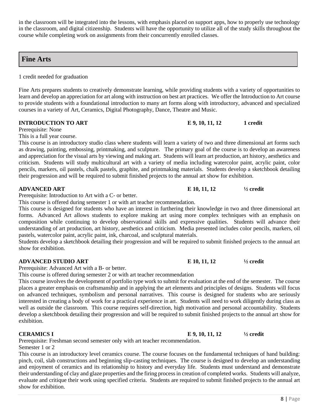in the classroom will be integrated into the lessons, with emphasis placed on support apps, how to properly use technology in the classroom, and digital citizenship. Students will have the opportunity to utilize all of the study skills throughout the course while completing work on assignments from their concurrently enrolled classes.

# **Fine Arts**

1 credit needed for graduation

Fine Arts prepares students to creatively demonstrate learning, while providing students with a variety of opportunities to learn and develop an appreciation for art along with instruction on best art practices. We offer the Introduction to Art course to provide students with a foundational introduction to many art forms along with introductory, advanced and specialized courses in a variety of Art, Ceramics, Digital Photography, Dance, Theatre and Music.

Prerequisite: None

This is a full year course.

This course is an introductory studio class where students will learn a variety of two and three dimensional art forms such as drawing, painting, embossing, printmaking, and sculpture. The primary goal of the course is to develop an awareness and appreciation for the visual arts by viewing and making art. Students will learn art production, art history, aesthetics and criticism. Students will study multicultural art with a variety of media including watercolor paint, acrylic paint, color pencils, markers, oil pastels, chalk pastels, graphite, and printmaking materials. Students develop a sketchbook detailing their progression and will be required to submit finished projects to the annual art show for exhibition.

### **ADVANCED ART E 10, 11, 12 ½ credit**

Prerequisite: Introduction to Art with a C- or better.

This course is offered during semester 1 or with art teacher recommendation.

This course is designed for students who have an interest in furthering their knowledge in two and three dimensional art forms. Advanced Art allows students to explore making art using more complex techniques with an emphasis on composition while continuing to develop observational skills and expressive qualities. Students will advance their understanding of art production, art history, aesthetics and criticism. Media presented includes color pencils, markers, oil pastels, watercolor paint, acrylic paint, ink, charcoal, and sculptural materials.

Students develop a sketchbook detailing their progression and will be required to submit finished projects to the annual art show for exhibition.

### **ADVANCED STUDIO ART E 10, 11, 12 ½ credit**

Prerequisite: Advanced Art with a B- or better.

This course is offered during semester 2 or with art teacher recommendation

This course involves the development of portfolio type work to submit for evaluation at the end of the semester. The course places a greater emphasis on craftsmanship and in applying the art elements and principles of designs. Students will focus on advanced techniques, symbolism and personal narratives. This course is designed for students who are seriously interested in creating a body of work for a practical experience in art. Students will need to work diligently during class as well as outside the classroom. This course requires self-direction, high motivation and personal accountability. Students develop a sketchbook detailing their progression and will be required to submit finished projects to the annual art show for exhibition.

### **CERAMICS I** E 9, 10, 11, 12  $\frac{1}{2}$  eredit

Prerequisite: Freshman second semester only with art teacher recommendation. Semester 1 or 2

This course is an introductory level ceramics course. The course focuses on the fundamental techniques of hand building: pinch, coil, slab constructions and beginning slip-casting techniques. The course is designed to develop an understanding and enjoyment of ceramics and its relationship to history and everyday life. Students must understand and demonstrate their understanding of clay and glaze properties and the firing process in creation of completed works. Students will analyze, evaluate and critique their work using specified criteria. Students are required to submit finished projects to the annual art show for exhibition.

**INTRODUCTION TO ART E 9, 10, 11, 12 1 credit**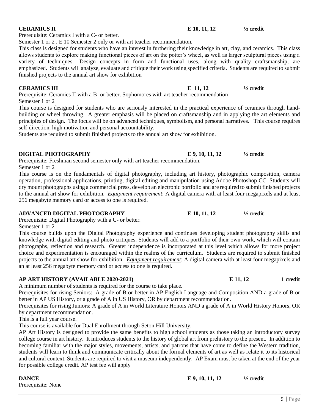### **DANCE E 9, 10, 11, 12** <sup>1</sup>/<sub>2</sub> credit Prerequisite: None

Prerequisite: Ceramics I with a C- or better.

Semester 1 or 2 , E 10 Semester 2 only or with art teacher recommendation.

This class is designed for students who have an interest in furthering their knowledge in art, clay, and ceramics. This class allows students to explore making functional pieces of art on the potter's wheel, as well as larger sculptural pieces using a variety of techniques. Design concepts in form and functional uses, along with quality craftsmanship, are emphasized. Students will analyze, evaluate and critique their work using specified criteria. Students are required to submit finished projects to the annual art show for exhibition

### **CERAMICS III** E 11, 12  $\frac{1}{2}$  credit

Prerequisite: Ceramics II with a B- or better. Sophomores with art teacher recommendation Semester 1 or 2

This course is designed for students who are seriously interested in the practical experience of ceramics through handbuilding or wheel throwing. A greater emphasis will be placed on craftsmanship and in applying the art elements and principles of design. The focus will be on advanced techniques, symbolism, and personal narratives. This course requires self-direction, high motivation and personal accountability.

Students are required to submit finished projects to the annual art show for exhibition.

### **DIGITAL PHOTOGRAPHY E 9, 10, 11, 12 ½ credit**

Prerequisite: Freshman second semester only with art teacher recommendation. Semester 1 or 2

This course is on the fundamentals of digital photography, including art history, photographic composition, camera operation, professional applications, printing, digital editing and manipulation using Adobe Photoshop CC. Students will dry mount photographs using a commercial press, develop an electronic portfolio and are required to submit finished projects to the annual art show for exhibition. *Equipment requirement*: A digital camera with at least four megapixels and at least 256 megabyte memory card or access to one is required.

### **ADVANCED DIGITAL PHOTOGRAPHY E 10, 11, 12 ½ credit**

Prerequisite: Digital Photography with a C- or better.

Semester 1 or 2

This course builds upon the Digital Photography experience and continues developing student photography skills and knowledge with digital editing and photo critiques. Students will add to a portfolio of their own work, which will contain photographs, reflection and research. Greater independence is incorporated at this level which allows for more project choice and experimentation is encouraged within the realms of the curriculum. Students are required to submit finished projects to the annual art show for exhibition. *Equipment requirement*: A digital camera with at least four megapixels and an at least 256 megabyte memory card or access to one is required.

### **AP ART HISTORY (AVAILABLE 2020-2021) E 11, 12 1 credit**

A minimum number of students is required for the course to take place.

Prerequisites for rising Seniors: A grade of B or better in AP English Language and Composition AND a grade of B or better in AP US History, or a grade of A in US History, OR by department recommendation.

Prerequisites for rising Juniors: A grade of A in World Literature Honors AND a grade of A in World History Honors, OR by department recommendation.

This is a full year course.

This course is available for Dual Enrollment through Seton Hill University.

AP Art History is designed to provide the same benefits to high school students as those taking an introductory survey college course in art history. It introduces students to the history of global art from prehistory to the present. In addition to becoming familiar with the major styles, movements, artists, and patrons that have come to define the Western tradition, students will learn to think and communicate critically about the formal elements of art as well as relate it to its historical and cultural context. Students are required to visit a museum independently. AP Exam must be taken at the end of the year for possible college credit. AP test fee will apply

### **CERAMICS II E 10, 11, 12**  $\frac{1}{2}$  redit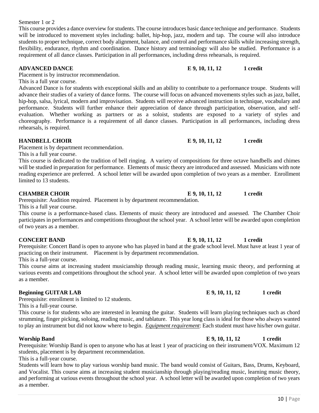Semester 1 or 2

This course provides a dance overview for students. The course introduces basic dance technique and performance. Students will be introduced to movement styles including: ballet, hip-hop, jazz, modern and tap. The course will also introduce students to proper technique, correct body alignment, balance, and control and performance skills while increasing strength, flexibility, endurance, rhythm and coordination. Dance history and terminology will also be studied. Performance is a requirement of all dance classes. Participation in all performances, including dress rehearsals, is required.

### **ADVANCED DANCE E 9, 10, 11, 12 1 credit**

Placement is by instructor recommendation.

This is a full year course.

Advanced Dance is for students with exceptional skills and an ability to contribute to a performance troupe. Students will advance their studies of a variety of dance forms. The course will focus on advanced movements styles such as jazz, ballet, hip-hop, salsa, lyrical, modern and improvisation. Students will receive advanced instruction in technique, vocabulary and performance. Students will further enhance their appreciation of dance through participation, observation, and selfevaluation. Whether working as partners or as a soloist, students are exposed to a variety of styles and choreography. Performance is a requirement of all dance classes. Participation in all performances, including dress rehearsals, is required.

### **HANDBELL CHOIR E 9, 10, 11, 12 1 credit**

Placement is by department recommendation.

This is a full year course.

This course is dedicated to the tradition of bell ringing. A variety of compositions for three octave handbells and chimes will be studied in preparation for performance. Elements of music theory are introduced and assessed. Musicians with note reading experience are preferred. A school letter will be awarded upon completion of two years as a member. Enrollment limited to 13 students.

### **CHAMBER CHOIR E 9, 10, 11, 12 1 credit**

Prerequisite: Audition required. Placement is by department recommendation. This is a full year course.

This course is a performance-based class. Elements of music theory are introduced and assessed. The Chamber Choir participates in performances and competitions throughout the school year. A school letter will be awarded upon completion of two years as a member.

Prerequisite: Concert Band is open to anyone who has played in band at the grade school level. Must have at least 1 year of practicing on their instrument. Placement is by department recommendation.

This is a full-year course.

This course aims at increasing student musicianship through reading music, learning music theory, and performing at various events and competitions throughout the school year. A school letter will be awarded upon completion of two years as a member.

### **Beginning GUITAR LAB E 9, 10, 11, 12** 1 credit

Prerequisite: enrollment is limited to 12 students.

This is a full-year course.

This course is for students who are interested in learning the guitar. Students will learn playing techniques such as chord strumming, finger picking, soloing, reading music, and tablature. This year long class is ideal for those who always wanted to play an instrument but did not know where to begin. *Equipment requirement*: Each student must have his/her own guitar.

Prerequisite: Worship Band is open to anyone who has at least 1 year of practicing on their instrument/VOX. Maximum 12 students, placement is by department recommendation.

This is a full-year course.

Students will learn how to play various worship band music. The band would consist of Guitars, Bass, Drums, Keyboard, and Vocalist. This course aims at increasing student musicianship through playing/reading music, learning music theory, and performing at various events throughout the school year. A school letter will be awarded upon completion of two years as a member.

### **CONCERT BAND E 9, 10, 11, 12** 1 credit

# **Worship Band E 9, 10, 11, 12 1 credit**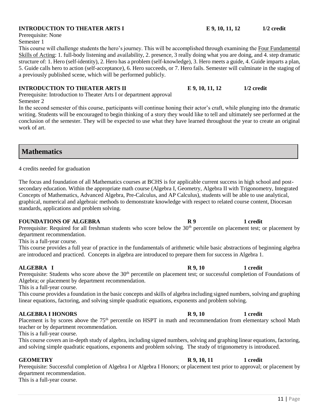### **INTRODUCTION TO THEATER ARTS I E 9, 10, 11, 12** 1/2 credit

Prerequisite: None

Semester 1

This course will challenge students the hero's journey. This will be accomplished through examining the Four Fundamental Skills of Acting: 1. full-body listening and availability, 2. presence, 3 really doing what you are doing, and 4. step dramatic structure of: 1. Hero (self-identity), 2. Hero has a problem (self-knowledge), 3. Hero meets a guide, 4. Guide imparts a plan, 5. Guide calls hero to action (self-acceptance), 6. Hero succeeds, or 7. Hero fails. Semester will culminate in the staging of a previously published scene, which will be performed publicly.

### **INTRODUCTION TO THEATER ARTS II E 9, 10, 11, 12 1/2 credit**

Prerequisite: Introduction to Theater Arts I or department approval Semester 2

In the second semester of this course, participants will continue honing their actor's craft, while plunging into the dramatic writing. Students will be encouraged to begin thinking of a story they would like to tell and ultimately see performed at the conclusion of the semester. They will be expected to use what they have learned throughout the year to create an original work of art.

**Mathematics**

4 credits needed for graduation

The focus and foundation of all Mathematics courses at BCHS is for applicable current success in high school and postsecondary education. Within the appropriate math course (Algebra I, Geometry, Algebra II with Trigonometry, Integrated Concepts of Mathematics, Advanced Algebra, Pre-Calculus, and AP Calculus), students will be able to use analytical, graphical, numerical and algebraic methods to demonstrate knowledge with respect to related course content, Diocesan standards, applications and problem solving.

### **FOUNDATIONS OF ALGEBRA** R 9 1 credit

Prerequisite: Required for all freshman students who score below the 30<sup>th</sup> percentile on placement test; or placement by department recommendation.

This is a full-year course.

This course provides a full year of practice in the fundamentals of arithmetic while basic abstractions of beginning algebra are introduced and practiced. Concepts in algebra are introduced to prepare them for success in Algebra 1.

### **ALGEBRA I** R 9, 10 1 credit

Prerequisite: Students who score above the 30<sup>th</sup> percentile on placement test; or successful completion of Foundations of Algebra; or placement by department recommendation.

This is a full-year course.

This course provides a foundation in the basic concepts and skills of algebra including signed numbers, solving and graphing linear equations, factoring, and solving simple quadratic equations, exponents and problem solving.

### **ALGEBRA I HONORS R 9, 10 1 credit**

Placement is by scores above the 75<sup>th</sup> percentile on HSPT in math and recommendation from elementary school Math teacher or by department recommendation.

This is a full-year course.

This course covers an in-depth study of algebra, including signed numbers, solving and graphing linear equations, factoring, and solving simple quadratic equations, exponents and problem solving. The study of trigonometry is introduced.

Prerequisite: Successful completion of Algebra I or Algebra I Honors; or placement test prior to approval; or placement by department recommendation.

This is a full-year course.

### **GEOMETRY** 1 credit **R** 9, 10, 11 1 credit

### 11 | Page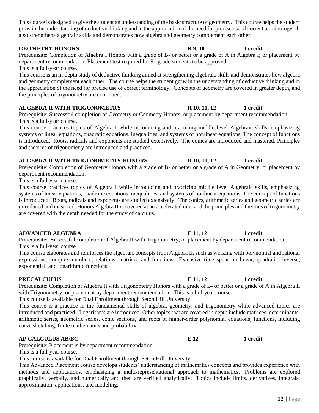This course is designed to give the student an understanding of the basic structure of geometry. This course helps the student grow in the understanding of deductive thinking and in the appreciation of the need for precise use of correct terminology. It also strengthens algebraic skills and demonstrates how algebra and geometry complement each other.

Prerequisite: Completion of Algebra I Honors with a grade of B- or better or a grade of A in Algebra I; or placement by department recommendation. Placement test required for  $9<sup>th</sup>$  grade students to be approved. This is a full-year course.

This course is an in-depth study of deductive thinking aimed at strengthening algebraic skills and demonstrates how algebra and geometry complement each other. The course helps the student grow in the understanding of deductive thinking and in the appreciation of the need for precise use of correct terminology. Concepts of geometry are covered in greater depth, and the principles of trigonometry are continued.

### **ALGEBRA II WITH TRIGONOMETRY R 10, 11, 12 1 credit**

Prerequisite: Successful completion of Geometry or Geometry Honors; or placement by department recommendation. This is a full-year course.

This course practices topics of Algebra I while introducing and practicing middle level Algebraic skills, emphasizing systems of linear equations, quadratic equations, inequalities, and systems of nonlinear equations. The concept of functions is introduced. Roots, radicals and exponents are studied extensively. The conics are introduced and mastered. Principles and theories of trigonometry are introduced and practiced.

### ALGEBRA II WITH TRIGONOMETRY HONORS R 10, 11, 12 1 credit

Prerequisite: Completion of Geometry Honors with a grade of B- or better or a grade of A in Geometry; or placement by department recommendation.

This is a full-year course.

This course practices topics of Algebra I while introducing and practicing middle level Algebraic skills, emphasizing systems of linear equations, quadratic equations, inequalities, and systems of nonlinear equations. The concept of functions is introduced. Roots, radicals and exponents are studied extensively. The conics, arithmetic series and geometric series are introduced and mastered. Honors Algebra II is covered at an accelerated rate, and the principles and theories of trigonometry are covered with the depth needed for the study of calculus.

Prerequisite: Successful completion of Algebra II with Trigonometry; or placement by department recommendation. This is a full-year course.

This course elaborates and reinforces the algebraic concepts from Algebra II, such as working with polynomial and rational expressions, complex numbers, relations, matrices and functions. Extensive time spent on linear, quadratic, inverse, exponential, and logarithmic functions.

### **PRECALCULUS E 11, 12** 1 credit

Prerequisite: Completion of Algebra II with Trigonometry Honors with a grade of B- or better or a grade of A in Algebra II with Trigonometry; or placement by department recommendation. This is a full-year course. This course is available for Dual Enrollment through Seton Hill University.

This course is a practice in the fundamental skills of algebra, geometry, and trigonometry while advanced topics are introduced and practiced. Logarithms are introduced. Other topics that are covered in depth include matrices, determinants, arithmetic series, geometric series, conic sections, and roots of higher-order polynomial equations, functions, including curve sketching, finite mathematics and probability.

### **AP CALCULUS AB/BC E 12 1 credit**

Prerequisite: Placement is by department recommendation.

This is a full-year course.

This course is available for Dual Enrollment through Seton Hill University.

This Advanced Placement course develops students' understanding of mathematics concepts and provides experience with methods and applications, emphasizing a multi-representational approach to mathematics. Problems are explored graphically, verbally, and numerically and then are verified analytically. Topics include limits, derivatives, integrals, approximation, applications, and modeling.

### **GEOMETRY HONORS** R 9, 10 1 credit

# **ADVANCED ALGEBRA E 11, 12** 1 credit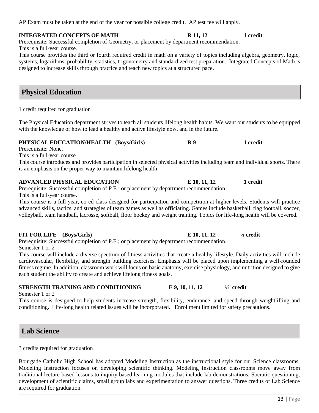13 | Page

# AP Exam must be taken at the end of the year for possible college credit. AP test fee will apply.

# **INTEGRATED CONCEPTS OF MATH R 11, 12** 1 credit

Prerequisite: Successful completion of Geometry; or placement by department recommendation. This is a full-year course.

This course provides the third or fourth required credit in math on a variety of topics including algebra, geometry, logic, systems, logarithms, probability, statistics, trigonometry and standardized test preparation. Integrated Concepts of Math is designed to increase skills through practice and teach new topics at a structured pace.

# **Physical Education**

1 credit required for graduation

The Physical Education department strives to teach all students lifelong health habits. We want our students to be equipped with the knowledge of how to lead a healthy and active lifestyle now, and in the future.

# **PHYSICAL EDUCATION/HEALTH (Boys/Girls) R 9 1 credit**

Prerequisite: None.

This is a full-year course.

This course introduces and provides participation in selected physical activities including team and individual sports. There is an emphasis on the proper way to maintain lifelong health.

# **ADVANCED PHYSICAL EDUCATION E 10, 11, 12 1 credit**

Prerequisite: Successful completion of P.E.; or placement by department recommendation. This is a full-year course.

This course is a full year, co-ed class designed for participation and competition at higher levels. Students will practice advanced skills, tactics, and strategies of team games as well as officiating. Games include basketball, flag football, soccer, volleyball, team handball, lacrosse, softball, floor hockey and weight training. Topics for life-long health will be covered.

# **FIT FOR LIFE (Boys/Girls) E 10, 11, 12 ½ credit**

Prerequisite: Successful completion of P.E.; or placement by department recommendation. Semester 1 or 2

This course will include a diverse spectrum of fitness activities that create a healthy lifestyle. Daily activities will include cardiovascular, flexibility, and strength building exercises. Emphasis will be placed upon implementing a well-rounded fitness regime. In addition, classroom work will focus on basic anatomy, exercise physiology, and nutrition designed to give each student the ability to create and achieve lifelong fitness goals.

# **STRENGTH TRAINING AND CONDITIONING E 9, 10, 11, 12 ½ credit**

Semester 1 or 2

This course is designed to help students increase strength, flexibility, endurance, and speed through weightlifting and conditioning. Life-long health related issues will be incorporated. Enrollment limited for safety precautions.

# **Lab Science**

3 credits required for graduation

Bourgade Catholic High School has adopted Modeling Instruction as the instructional style for our Science classrooms. Modeling Instruction focuses on developing scientific thinking. Modeling Instruction classrooms move away from traditional lecture-based lessons to inquiry based learning modules that include lab demonstrations, Socratic questioning, development of scientific claims, small group labs and experimentation to answer questions. Three credits of Lab Science are required for graduation.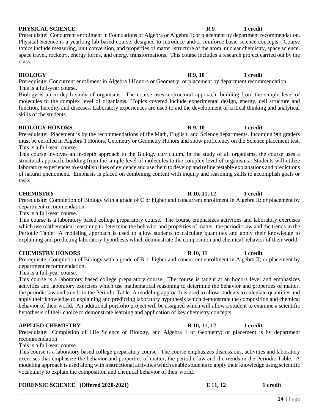### **PHYSICAL SCIENCE R9** 1 credit

Prerequisite: Concurrent enrollment in Foundations of Algebra or Algebra 1; or placement by department recommendation. Physical Science is a yearlong lab based course, designed to introduce and/or reinforce basic science concepts. Course topics include measuring, unit conversion, and properties of matter, structure of the atom, nuclear chemistry, space science, space travel, rocketry, energy forms, and energy transformations. This course includes a research project carried out by the class.

### **BIOLOGY R** 9, 10 **1** credit

Prerequisite: Concurrent enrollment in Algebra I Honors or Geometry; or placement by department recommendation. This is a full-year course.

Biology is an in depth study of organisms. The course uses a structural approach, building from the simple level of molecules to the complex level of organisms. Topics covered include experimental design, energy, cell structure and function, heredity and diseases. Laboratory experiences are used to aid the development of critical thinking and analytical skills of the students.

### **BIOLOGY HONORS** R 9, 10 1 credit

Prerequisite: Placement is by the recommendations of the Math, English, and Science departments. Incoming 9th graders must be enrolled in Algebra 1 Honors, Geometry or Geometry Honors and show proficiency on the Science placement test. This is a full-year course.

This course involves an in-depth approach to the Biology curriculum. In the study of all organisms, the course uses a structural approach, building from the simple level of molecules to the complex level of organisms. Students will utilize laboratory experiences to establish lines of evidence and use them to develop and refine testable explanations and predictions of natural phenomena. Emphasis is placed on combining content with inquiry and reasoning skills to accomplish goals or tasks.

Prerequisite: Completion of Biology with a grade of C or higher and concurrent enrollment in Algebra II; or placement by department recommendation.

This is a full-year course.

This course is a laboratory based college preparatory course. The course emphasizes activities and laboratory exercises which use mathematical reasoning to determine the behavior and properties of matter, the periodic law and the trends in the Periodic Table. A modeling approach is used to allow students to calculate quantities and apply their knowledge to explaining and predicting laboratory hypothesis which demonstrate the composition and chemical behavior of their world.

### **CHEMISTRY HONORS** R 10, 11 1 credit

Prerequisite: Completion of Biology with a grade of B or higher and concurrent enrollment in Algebra II; or placement by department recommendation.

This is a full-year course.

This course is a laboratory based college preparatory course. The course is taught at an honors level and emphasizes activities and laboratory exercises which use mathematical reasoning to determine the behavior and properties of matter, the periodic law and trends in the Periodic Table. A modeling approach is used to allow students to calculate quantities and apply their knowledge to explaining and predicting laboratory hypothesis which demonstrate the composition and chemical behavior of their world. An additional portfolio project will be assigned which will allow a student to examine a scientific hypothesis of their choice to demonstrate learning and application of key chemistry concepts.

### **APPLIED CHEMISTRY R 10, 11, 12 1 credit**

Prerequisite: Completion of Life Science or Biology, and Algebra 1 or Geometry; or placement is by department recommendation.

This is a full-year course.

This course is a laboratory based college preparatory course. The course emphasizes discussions, activities and laboratory exercises that emphasize the behavior and properties of matter, the periodic law and the trends in the Periodic Table. A modeling approach is used along with instructional activities which enable students to apply their knowledge using scientific vocabulary to explain the composition and chemical behavior of their world.

### **FORENSIC SCIENCE (Offered 2020-2021) E 11, 12 1 credit**

# **CHEMISTRY** 1 **CHEMISTRY** 1 **CHEMISTRY R** 10, 11, 12 1 **credit**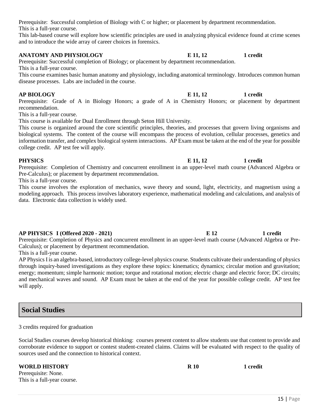Prerequisite: Successful completion of Biology with C or higher; or placement by department recommendation. This is a full-year course.

This lab-based course will explore how scientific principles are used in analyzing physical evidence found at crime scenes and to introduce the wide array of career choices in forensics.

### **ANATOMY AND PHYSIOLOGY E 11, 12** 1 credit

Prerequisite: Successful completion of Biology; or placement by department recommendation. This is a full-year course.

This course examines basic human anatomy and physiology, including anatomical terminology. Introduces common human disease processes. Labs are included in the course.

### **AP BIOLOGY E 11, 12 1 credit**

Prerequisite: Grade of A in Biology Honors; a grade of A in Chemistry Honors; or placement by department recommendation.

This is a full-year course.

This course is available for Dual Enrollment through Seton Hill University.

This course is organized around the core scientific principles, theories, and processes that govern living organisms and biological systems. The content of the course will encompass the process of evolution, cellular processes, genetics and information transfer, and complex biological system interactions. AP Exam must be taken at the end of the year for possible college credit. AP test fee will apply.

### **PHYSICS E** 11, 12 **1** credit

Prerequisite: Completion of Chemistry and concurrent enrollment in an upper-level math course (Advanced Algebra or Pre-Calculus); or placement by department recommendation.

This is a full-year course.

This course involves the exploration of mechanics, wave theory and sound, light, electricity, and magnetism using a modeling approach. This process involves laboratory experience, mathematical modeling and calculations, and analysis of data. Electronic data collection is widely used.

### **AP PHYSICS I (Offered 2020 - 2021) E 12 1 credit**

Prerequisite: Completion of Physics and concurrent enrollment in an upper-level math course (Advanced Algebra or Pre-Calculus); or placement by department recommendation.

This is a full-year course.

AP Physics I is an algebra-based, introductory college-level physics course. Students cultivate their understanding of physics through inquiry-based investigations as they explore these topics: kinematics; dynamics; circular motion and gravitation; energy; momentum; simple harmonic motion; torque and rotational motion; electric charge and electric force; DC circuits; and mechanical waves and sound. AP Exam must be taken at the end of the year for possible college credit. AP test fee will apply.

# **Social Studies**

3 credits required for graduation

Social Studies courses develop historical thinking: courses present content to allow students use that content to provide and corroborate evidence to support or contest student-created claims. Claims will be evaluated with respect to the quality of sources used and the connection to historical context.

### **WORLD HISTORY R 10 R 10 1** credit

Prerequisite: None. This is a full-year course.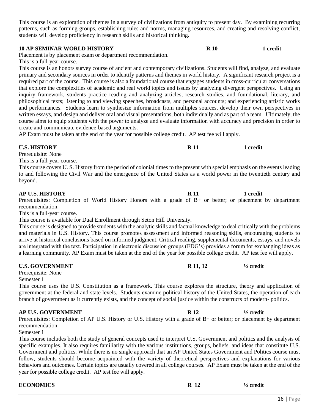This course is an exploration of themes in a survey of civilizations from antiquity to present day. By examining recurring patterns, such as forming groups, establishing rules and norms, managing resources, and creating and resolving conflict, students will develop proficiency in research skills and historical thinking.

### **10 AP SEMINAR WORLD HISTORY R 10 1 credit**

Placement is by placement exam or department recommendation.

This is a full-year course.

This course is an honors survey course of ancient and contemporary civilizations. Students will find, analyze, and evaluate primary and secondary sources in order to identify patterns and themes in world history. A significant research project is a required part of the course. This course is also a foundational course that engages students in cross-curricular conversations that explore the complexities of academic and real world topics and issues by analyzing divergent perspectives. Using an inquiry framework, students practice reading and analyzing articles, research studies, and foundational, literary, and philosophical texts; listening to and viewing speeches, broadcasts, and personal accounts; and experiencing artistic works and performances. Students learn to synthesize information from multiples sources, develop their own perspectives in written essays, and design and deliver oral and visual presentations, both individually and as part of a team. Ultimately, the course aims to equip students with the power to analyze and evaluate information with accuracy and precision in order to create and communicate evidence-based arguments.

AP Exam must be taken at the end of the year for possible college credit. AP test fee will apply.

Prerequisite: None

This is a full-year course.

This course covers U. S. History from the period of colonial times to the present with special emphasis on the events leading to and following the Civil War and the emergence of the United States as a world power in the twentieth century and beyond.

### **AP U.S. HISTORY R 11 R 11 1** credit

Prerequisites: Completion of World History Honors with a grade of B+ or better; or placement by department recommendation.

This is a full-year course.

This course is available for Dual Enrollment through Seton Hill University.

This course is designed to provide students with the analytic skills and factual knowledge to deal critically with the problems and materials in U.S. History. This course promotes assessment and informed reasoning skills, encouraging students to arrive at historical conclusions based on informed judgment. Critical reading, supplemental documents, essays, and novels are integrated with the text. Participation in electronic discussion groups (EDG's) provides a forum for exchanging ideas as a learning community. AP Exam must be taken at the end of the year for possible college credit. AP test fee will apply.

### **U.S. GOVERNMENT** R 11, 12  $\frac{1}{2}$  credit

Prerequisite: None Semester 1

This course uses the U.S. Constitution as a framework. This course explores the structure, theory and application of government at the federal and state levels. Students examine political history of the United States, the operation of each branch of government as it currently exists, and the concept of social justice within the constructs of modern- politics.

### **AP U.S. GOVERNMENT R 12 ½ credit**

Prerequisites: Completion of AP U.S. History or U.S. History with a grade of B+ or better; or placement by department recommendation.

Semester 1

This course includes both the study of general concepts used to interpret U.S. Government and politics and the analysis of specific examples. It also requires familiarity with the various institutions, groups, beliefs, and ideas that constitute U.S. Government and politics. While there is no single approach that an AP United States Government and Politics course must follow, students should become acquainted with the variety of theoretical perspectives and explanations for various behaviors and outcomes. Certain topics are usually covered in all college courses. AP Exam must be taken at the end of the year for possible college credit. AP test fee will apply.

| <b>ECONOMICS</b> | R 12 | $\frac{1}{2}$ credit |
|------------------|------|----------------------|
|                  |      |                      |

**U.S. HISTORY R 11 1 credit**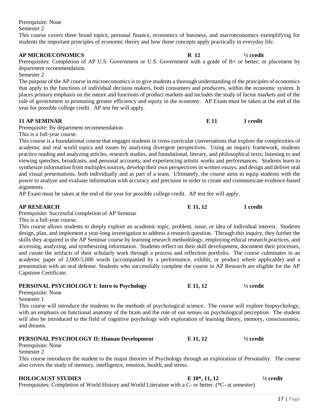Prerequisite: None

Semester 2

This course covers three broad topics; personal finance, economics of business, and macroeconomics exemplifying for students the important principles of economic theory and how those concepts apply practically in everyday life.

### **AP MICROECONOMICS R 12 ½ credit**

Prerequisites: Completion of AP U.S. Government or U.S. Government with a grade of B+ or better; or placement by department recommendation.

Semester 2

The purpose of the AP course in microeconomics is to give students a thorough understanding of the principles of economics that apply to the functions of individual decision makers, both consumers and producers, within the economic system. It places primary emphasis on the nature and functions of product markets and includes the study of factor markets and of the role of government in promoting greater efficiency and equity in the economy. AP Exam must be taken at the end of the year for possible college credit. AP test fee will apply.

### **11 AP SEMINAR E 11 1 credit**

Prerequisite: By department recommendation

This is a full-year course.

This course is a foundational course that engages students in cross-curricular conversations that explore the complexities of academic and real world topics and issues by analyzing divergent perspectives. Using an inquiry framework, students practice reading and analyzing articles, research studies, and foundational, literary, and philosophical texts; listening to and viewing speeches, broadcasts, and personal accounts; and experiencing artistic works and performances. Students learn to synthesize information from multiples sources, develop their own perspectives in written essays, and design and deliver oral and visual presentations, both individually and as part of a team. Ultimately, the course aims to equip students with the power to analyze and evaluate information with accuracy and precision in order to create and communicate evidence-based arguments.

AP Exam must be taken at the end of the year for possible college credit. AP test fee will apply.

### **AP RESEARCH E 11, 12** 1 credit

Prerequisite: Successful completion of AP Seminar

This is a full-year course.

This course allows students to deeply explore an academic topic, problem, issue, or idea of individual interest. Students design, plan, and implement a year-long investigation to address a research question. Through this inquiry, they further the skills they acquired in the AP Seminar course by learning research methodology, employing ethical research practices, and accessing, analyzing, and synthesizing information. Students reflect on their skill development, document their processes, and curate the artifacts of their scholarly work through a process and reflection portfolio. The course culminates in an academic paper of 2,000-5,000 words (accompanied by a performance, exhibit, or product where applicable) and a presentation with an oral defense. Students who successfully complete the course in AP Research are eligible for the AP Capstone Certificate.

### **PERSONAL PSYCHOLOGY I: Intro to Psychology**  $E \tildot 11, 12$  $\frac{1}{2}$  **credit** Prerequisite: None Semester 1 This course will introduce the students to the methods of psychological science. The course will explore biopsychology, with an emphasis on functional anatomy of the brain and the role of our senses on psychological perception. The student will also be introduced to the field of cognitive psychology with exploration of learning theory, memory, consciousness, and dreams.

| <b>PERSONAL PSYCHOLOGY II: Human Development</b> | E 11, 12 | $\frac{1}{2}$ credit |
|--------------------------------------------------|----------|----------------------|
| Prerequisite: None                               |          |                      |

Semester 2

This course introduces the student to the major theories of Psychology through an exploration of Personality. The course also covers the study of memory, intelligence, emotion, health, and stress.

### **HOLOCAUST STUDIES E 10\*, 11, 12 ½ credit**

Prerequisites: Completion of World History and World Literature with a C- or better. (\*C- at semester)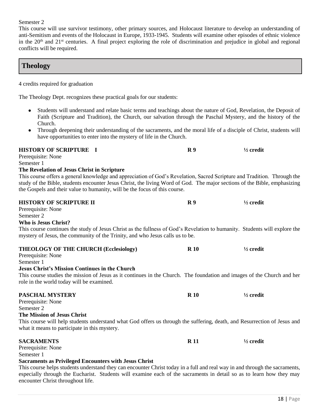### Semester 2

This course will use survivor testimony, other primary sources, and Holocaust literature to develop an understanding of anti-Semitism and events of the Holocaust in Europe, 1933-1945. Students will examine other episodes of ethnic violence in the  $20<sup>th</sup>$  and  $21<sup>st</sup>$  centuries. A final project exploring the role of discrimination and prejudice in global and regional conflicts will be required.

# **Theology**

4 credits required for graduation

The Theology Dept. recognizes these practical goals for our students:

- Students will understand and relate basic terms and teachings about the nature of God, Revelation, the Deposit of Faith (Scripture and Tradition), the Church, our salvation through the Paschal Mystery, and the history of the Church.
- Through deepening their understanding of the sacraments, and the moral life of a disciple of Christ, students will have opportunities to enter into the mystery of life in the Church.

| <b>HISTORY OF SCRIPTURE I</b><br>Prerequisite: None<br>Semester 1<br>The Revelation of Jesus Christ in Scripture<br>This course offers a general knowledge and appreciation of God's Revelation, Sacred Scripture and Tradition. Through the<br>study of the Bible, students encounter Jesus Christ, the living Word of God. The major sections of the Bible, emphasizing<br>the Gospels and their value to humanity, will be the focus of this course. | R <sub>9</sub> | $\frac{1}{2}$ credit |
|---------------------------------------------------------------------------------------------------------------------------------------------------------------------------------------------------------------------------------------------------------------------------------------------------------------------------------------------------------------------------------------------------------------------------------------------------------|----------------|----------------------|
| <b>HISTORY OF SCRIPTURE II</b><br>Prerequisite: None<br>Semester 2<br>Who is Jesus Christ?                                                                                                                                                                                                                                                                                                                                                              | R <sub>9</sub> | $\frac{1}{2}$ credit |
| This course continues the study of Jesus Christ as the fullness of God's Revelation to humanity. Students will explore the<br>mystery of Jesus, the community of the Trinity, and who Jesus calls us to be.                                                                                                                                                                                                                                             |                |                      |
| <b>THEOLOGY OF THE CHURCH (Ecclesiology)</b><br>Prerequisite: None<br>Semester 1<br><b>Jesus Christ's Mission Continues in the Church</b><br>This course studies the mission of Jesus as it continues in the Church. The foundation and images of the Church and her                                                                                                                                                                                    | <b>R</b> 10    | $\frac{1}{2}$ credit |
| role in the world today will be examined.<br>PASCHAL MVSTERV                                                                                                                                                                                                                                                                                                                                                                                            | <b>R</b> 10    | $1/2$ credit         |

| Prerequisite: None                                                                                                       |             |                      |
|--------------------------------------------------------------------------------------------------------------------------|-------------|----------------------|
| Semester 2                                                                                                               |             |                      |
| The Mission of Jesus Christ                                                                                              |             |                      |
| This course will help students understand what God offers us through the suffering, death, and Resurrection of Jesus and |             |                      |
| what it means to participate in this mystery.                                                                            |             |                      |
|                                                                                                                          |             |                      |
|                                                                                                                          |             |                      |
| <b>SACRAMENTS</b>                                                                                                        | <b>R</b> 11 | $\frac{1}{2}$ credit |
| Prerequisite: None                                                                                                       |             |                      |
| Semester 1                                                                                                               |             |                      |
| <b>Sacraments as Privileged Encounters with Jesus Christ</b>                                                             |             |                      |

especially through the Eucharist. Students will examine each of the sacraments in detail so as to learn how they may encounter Christ throughout life.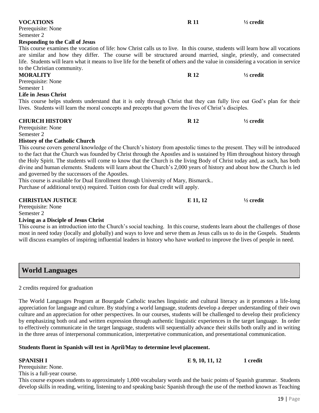| <b>VOCATIONS</b>                                                                                                                  | <b>R</b> 11 | $\frac{1}{2}$ credit |
|-----------------------------------------------------------------------------------------------------------------------------------|-------------|----------------------|
| Prerequisite: None                                                                                                                |             |                      |
| Semester 2                                                                                                                        |             |                      |
| <b>Responding to the Call of Jesus</b>                                                                                            |             |                      |
| This course examines the vocation of life: how Christ calls us to live. In this course, students will learn how all vocations     |             |                      |
| are similar and how they differ. The course will be structured around married, single, priestly, and consecrated                  |             |                      |
| life. Students will learn what it means to live life for the benefit of others and the value in considering a vocation in service |             |                      |
| to the Christian community.                                                                                                       |             |                      |
| <b>MORALITY</b>                                                                                                                   | <b>R</b> 12 | $\frac{1}{2}$ credit |
| Prerequisite: None                                                                                                                |             |                      |
| Semester 1                                                                                                                        |             |                      |
| <b>Life in Jesus Christ</b>                                                                                                       |             |                      |
| This course helps students understand that it is only through Christ that they can fully live out God's plan for their            |             |                      |
| lives. Students will learn the moral concepts and precepts that govern the lives of Christ's disciples.                           |             |                      |
| <b>CHURCH HISTORY</b>                                                                                                             | <b>R</b> 12 | $\frac{1}{2}$ credit |
| Prerequisite: None                                                                                                                |             |                      |

Prerequisite: None Semester 2

### **History of the Catholic Church**

This course covers general knowledge of the Church's history from apostolic times to the present. They will be introduced to the fact that the Church was founded by Christ through the Apostles and is sustained by Him throughout history through the Holy Spirit. The students will come to know that the Church is the living Body of Christ today and, as such, has both divine and human elements. Students will learn about the Church's 2,000 years of history and about how the Church is led and governed by the successors of the Apostles.

This course is available for Dual Enrollment through University of Mary, Bismarck..

Purchase of additional text(s) required. Tuition costs for dual credit will apply.

### **CHRISTIAN JUSTICE E 11, 12 ½ credit** Prerequisite: None

Semester 2

### **Living as a Disciple of Jesus Christ**

This course is an introduction into the Church's social teaching. In this course, students learn about the challenges of those most in need today (locally and globally) and ways to love and serve them as Jesus calls us to do in the Gospels. Students will discuss examples of inspiring influential leaders in history who have worked to improve the lives of people in need.

# **World Languages**

### 2 credits required for graduation

The World Languages Program at Bourgade Catholic teaches linguistic and cultural literacy as it promotes a life-long appreciation for language and culture. By studying a world language, students develop a deeper understanding of their own culture and an appreciation for other perspectives. In our courses, students will be challenged to develop their proficiency by emphasizing both oral and written expression through authentic linguistic experiences in the target language. In order to effectively communicate in the target language, students will sequentially advance their skills both orally and in writing in the three areas of interpersonal communication, interpretative communication, and presentational communication.

### **Students fluent in Spanish will test in April/May to determine level placement.**

**SPANISH I E 9, 10, 11, 12** 1 credit

Prerequisite: None. This is a full-year course.

This course exposes students to approximately 1,000 vocabulary words and the basic points of Spanish grammar. Students develop skills in reading, writing, listening to and speaking basic Spanish through the use of the method known as Teaching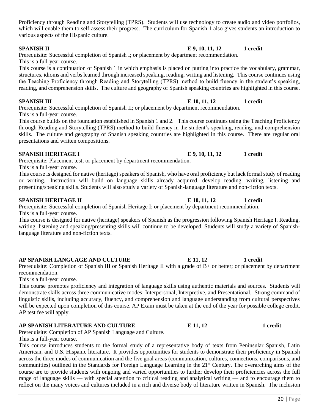Proficiency through Reading and Storytelling (TPRS). Students will use technology to create audio and video portfolios, which will enable them to self-assess their progress. The curriculum for Spanish 1 also gives students an introduction to various aspects of the Hispanic culture.

Prerequisite: Successful completion of Spanish I; or placement by department recommendation. This is a full-year course.

This course is a continuation of Spanish 1 in which emphasis is placed on putting into practice the vocabulary, grammar, structures, idioms and verbs learned through increased speaking, reading, writing and listening. This course continues using the Teaching Proficiency through Reading and Storytelling (TPRS) method to build fluency in the student's speaking, reading, and comprehension skills. The culture and geography of Spanish speaking countries are highlighted in this course.

### **SPANISH III E 10, 11, 12** 1 credit

Prerequisite: Successful completion of Spanish II; or placement by department recommendation. This is a full-year course.

This course builds on the foundation established in Spanish 1 and 2. This course continues using the Teaching Proficiency through Reading and Storytelling (TPRS) method to build fluency in the student's speaking, reading, and comprehension skills. The culture and geography of Spanish speaking countries are highlighted in this course. There are regular oral presentations and written compositions.

### **SPANISH HERITAGE I E 9, 10, 11, 12 1** credit

Prerequisite: Placement test; or placement by department recommendation. This is a full-year course.

This course is designed for native (heritage) speakers of Spanish, who have oral proficiency but lack formal study of reading or writing. Instruction will build on language skills already acquired, develop reading, writing, listening and presenting/speaking skills. Students will also study a variety of Spanish-language literature and non-fiction texts.

Prerequisite: Successful completion of Spanish Heritage I; or placement by department recommendation. This is a full-year course.

This course is designed for native (heritage) speakers of Spanish as the progression following Spanish Heritage I. Reading, writing, listening and speaking/presenting skills will continue to be developed. Students will study a variety of Spanishlanguage literature and non-fiction texts.

### **AP SPANISH LANGUAGE AND CULTURE E 11, 12 1 credit**

Prerequisite: Completion of Spanish III or Spanish Heritage II with a grade of B+ or better; or placement by department recommendation.

This is a full-year course.

This course promotes proficiency and integration of language skills using authentic materials and sources. Students will demonstrate skills across three communicative modes: Interpersonal, Interpretive, and Presentational. Strong command of linguistic skills, including accuracy, fluency, and comprehension and language understanding from cultural perspectives will be expected upon completion of this course. AP Exam must be taken at the end of the year for possible college credit. AP test fee will apply.

### **AP SPANISH LITERATURE AND CULTURE E 11, 12 1 credit**

Prerequisite: Completion of AP Spanish Language and Culture.

This is a full-year course.

This course introduces students to the formal study of a representative body of texts from Peninsular Spanish, Latin American, and U.S. Hispanic literature. It provides opportunities for students to demonstrate their proficiency in Spanish across the three modes of communication and the five goal areas (communication, cultures, connections, comparisons, and communities) outlined in the Standards for Foreign Language Learning in the 21<sup>st</sup> Century. The overarching aims of the course are to provide students with ongoing and varied opportunities to further develop their proficiencies across the full range of language skills — with special attention to critical reading and analytical writing — and to encourage them to reflect on the many voices and cultures included in a rich and diverse body of literature written in Spanish. The inclusion

### **SPANISH II E** 9, 10, 11, 12 1 credit

**SPANISH HERITAGE II E 10, 11, 12** 1 credit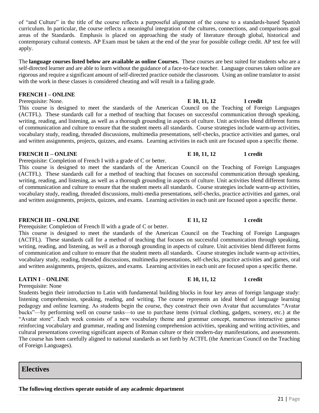of "and Culture" in the title of the course reflects a purposeful alignment of the course to a standards-based Spanish curriculum. In particular, the course reflects a meaningful integration of the cultures, connections, and comparisons goal areas of the Standards. Emphasis is placed on approaching the study of literature through global, historical and contemporary cultural contexts. AP Exam must be taken at the end of the year for possible college credit. AP test fee will apply.

The **language courses listed below are available as online Courses.** These courses are best suited for students who are a self-directed learner and are able to learn without the guidance of a face-to-face teacher. Language courses taken online are rigorous and require a significant amount of self-directed practice outside the classroom. Using an online translator to assist with the work in these classes is considered cheating and will result in a failing grade.

### **FRENCH I – ONLINE**

Prerequisite: None. **E 10, 11, 12** 1 credit

This course is designed to meet the standards of the American Council on the Teaching of Foreign Languages (ACTFL). These standards call for a method of teaching that focuses on successful communication through speaking, writing, reading, and listening, as well as a thorough grounding in aspects of culture. Unit activities blend different forms of communication and culture to ensure that the student meets all standards. Course strategies include warm-up activities, vocabulary study, reading, threaded discussions, multimedia presentations, self-checks, practice activities and games, oral and written assignments, projects, quizzes, and exams. Learning activities in each unit are focused upon a specific theme.

### **FRENCH II – ONLINE E 10, 11, 12** 1 credit

Prerequisite: Completion of French I with a grade of C or better.

This course is designed to meet the standards of the American Council on the Teaching of Foreign Languages (ACTFL). These standards call for a method of teaching that focuses on successful communication through speaking, writing, reading, and listening, as well as a thorough grounding in aspects of culture. Unit activities blend different forms of communication and culture to ensure that the student meets all standards. Course strategies include warm-up activities, vocabulary study, reading, threaded discussions, multi-media presentations, self-checks, practice activities and games, oral and written assignments, projects, quizzes, and exams. Learning activities in each unit are focused upon a specific theme.

Prerequisite: Completion of French II with a grade of C or better.

This course is designed to meet the standards of the American Council on the Teaching of Foreign Languages (ACTFL). These standards call for a method of teaching that focuses on successful communication through speaking, writing, reading, and listening, as well as a thorough grounding in aspects of culture. Unit activities blend different forms of communication and culture to ensure that the student meets all standards. Course strategies include warm-up activities, vocabulary study, reading, threaded discussions, multimedia presentations, self-checks, practice activities and games, oral and written assignments, projects, quizzes, and exams. Learning activities in each unit are focused upon a specific theme.

Prerequisite: None

Students begin their introduction to Latin with fundamental building blocks in four key areas of foreign language study: listening comprehension, speaking, reading, and writing. The course represents an ideal blend of language learning pedagogy and online learning. As students begin the course, they construct their own Avatar that accumulates "Avatar bucks"—by performing well on course tasks—to use to purchase items (virtual clothing, gadgets, scenery, etc.) at the "Avatar store". Each week consists of a new vocabulary theme and grammar concept, numerous interactive games reinforcing vocabulary and grammar, reading and listening comprehension activities, speaking and writing activities, and cultural presentations covering significant aspects of Roman culture or their modern-day manifestations, and assessments. The course has been carefully aligned to national standards as set forth by ACTFL (the American Council on the Teaching of Foreign Languages).

**Electives**

**The following electives operate outside of any academic department**

### **FRENCH III – ONLINE E 11, 12** 1 credit

### **LATIN I** – **ONLINE E** 10, 11, 12 **1** credit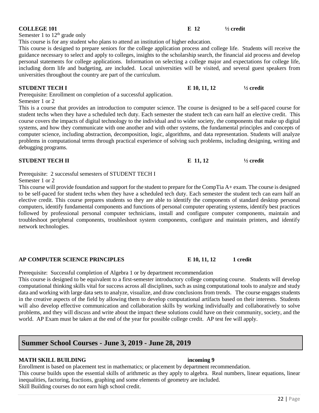Semester 1 to  $12<sup>th</sup>$  grade only

This course is for any student who plans to attend an institution of higher education.

This course is designed to prepare seniors for the college application process and college life. Students will receive the guidance necessary to select and apply to colleges, insights to the scholarship search, the financial aid process and develop personal statements for college applications. Information on selecting a college major and expectations for college life, including dorm life and budgeting, are included. Local universities will be visited, and several guest speakers from universities throughout the country are part of the curriculum.

Prerequisite: Enrollment on completion of a successful application.

### Semester 1 or 2

This is a course that provides an introduction to computer science. The course is designed to be a self-paced course for student techs when they have a scheduled tech duty. Each semester the student tech can earn half an elective credit. This course covers the impacts of digital technology to the individual and to wider society, the components that make up digital systems, and how they communicate with one another and with other systems, the fundamental principles and concepts of computer science, including abstraction, decomposition, logic, algorithms, and data representation. Students will analyze problems in computational terms through practical experience of solving such problems, including designing, writing and debugging programs.

|  | Prerequisite: 2 successful semesters of STUDENT TECH I |  |
|--|--------------------------------------------------------|--|

# Semester 1 or 2

This course will provide foundation and support for the student to prepare for the CompTia A+ exam. The course is designed to be self-paced for student techs when they have a scheduled tech duty. Each semester the student tech can earn half an elective credit. This course prepares students so they are able to identify the components of standard desktop personal computers, identify fundamental components and functions of personal computer operating systems, identify best practices followed by professional personal computer technicians, install and configure computer components, maintain and troubleshoot peripheral components, troubleshoot system components, configure and maintain printers, and identify network technologies.

### **AP COMPUTER SCIENCE PRINCIPLES E 10, 11, 12 1 credit**

Prerequisite: Successful completion of Algebra 1 or by department recommendation

This course is designed to be equivalent to a first-semester introductory college computing course. Students will develop computational thinking skills vital for success across all disciplines, such as using computational tools to analyze and study data and working with large data sets to analyze, visualize, and draw conclusions from trends. The course engages students in the creative aspects of the field by allowing them to develop computational artifacts based on their interests. Students will also develop effective communication and collaboration skills by working individually and collaboratively to solve problems, and they will discuss and write about the impact these solutions could have on their community, society, and the world. AP Exam must be taken at the end of the year for possible college credit. AP test fee will apply.

# **Summer School Courses - June 3, 2019 - June 28, 2019**

### **MATH SKILL BUILDING incoming 9**

Enrollment is based on placement test in mathematics; or placement by department recommendation. This course builds upon the essential skills of arithmetic as they apply to algebra. Real numbers, linear equations, linear inequalities, factoring, fractions, graphing and some elements of geometry are included. Skill Building courses do not earn high school credit.

### **COLLEGE 101 E 12 ½ credit**

**STUDENT TECH I E 10, 11, 12** <sup>1</sup>/<sub>2</sub> credit

**STUDENT TECH II E 11, 12**  $\frac{1}{2}$  **E 11, 12**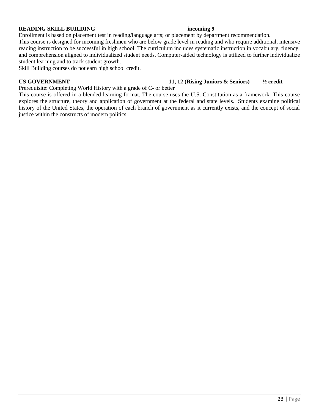### **READING SKILL BUILDING** incoming 9

Enrollment is based on placement test in reading/language arts; or placement by department recommendation.

This course is designed for incoming freshmen who are below grade level in reading and who require additional, intensive reading instruction to be successful in high school. The curriculum includes systematic instruction in vocabulary, fluency, and comprehension aligned to individualized student needs. Computer-aided technology is utilized to further individualize student learning and to track student growth.

Skill Building courses do not earn high school credit.

### **US GOVERNMENT 11, 12 (Rising Juniors & Seniors) ½ credit**

Prerequisite: Completing World History with a grade of C- or better

This course is offered in a blended learning format. The course uses the U.S. Constitution as a framework. This course explores the structure, theory and application of government at the federal and state levels. Students examine political history of the United States, the operation of each branch of government as it currently exists, and the concept of social justice within the constructs of modern politics.